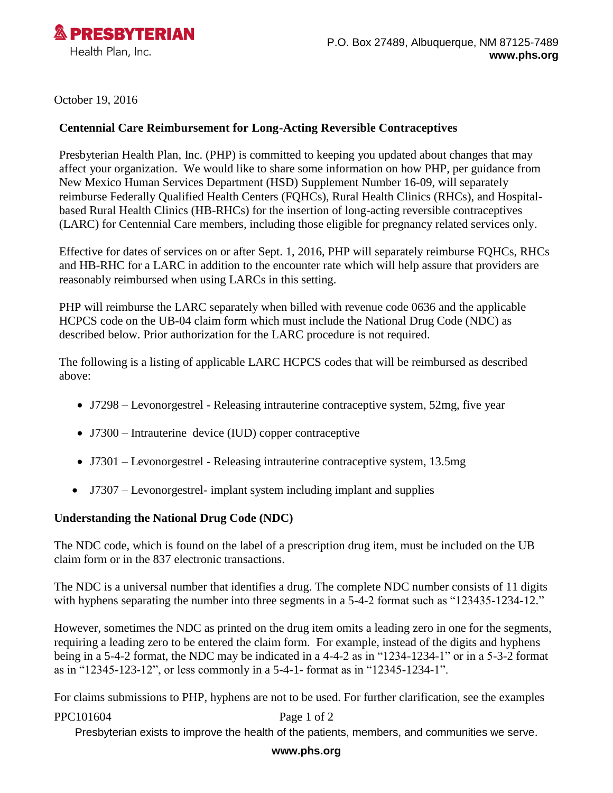

October 19, 2016

## **Centennial Care Reimbursement for Long-Acting Reversible Contraceptives**

Presbyterian Health Plan, Inc. (PHP) is committed to keeping you updated about changes that may affect your organization. We would like to share some information on how PHP, per guidance from New Mexico Human Services Department (HSD) Supplement Number 16-09, will separately reimburse Federally Qualified Health Centers (FQHCs), Rural Health Clinics (RHCs), and Hospitalbased Rural Health Clinics (HB-RHCs) for the insertion of long-acting reversible contraceptives (LARC) for Centennial Care members, including those eligible for pregnancy related services only.

Effective for dates of services on or after Sept. 1, 2016, PHP will separately reimburse FQHCs, RHCs and HB-RHC for a LARC in addition to the encounter rate which will help assure that providers are reasonably reimbursed when using LARCs in this setting.

PHP will reimburse the LARC separately when billed with revenue code 0636 and the applicable HCPCS code on the UB-04 claim form which must include the National Drug Code (NDC) as described below. Prior authorization for the LARC procedure is not required.

The following is a listing of applicable LARC HCPCS codes that will be reimbursed as described above:

- J7298 Levonorgestrel Releasing intrauterine contraceptive system, 52mg, five year
- J7300 Intrauterine device (IUD) copper contraceptive
- J7301 Levonorgestrel Releasing intrauterine contraceptive system, 13.5mg
- J7307 Levonorgestrel- implant system including implant and supplies

## **Understanding the National Drug Code (NDC)**

The NDC code, which is found on the label of a prescription drug item, must be included on the UB claim form or in the 837 electronic transactions.

The NDC is a universal number that identifies a drug. The complete NDC number consists of 11 digits with hyphens separating the number into three segments in a 5-4-2 format such as "123435-1234-12."

However, sometimes the NDC as printed on the drug item omits a leading zero in one for the segments, requiring a leading zero to be entered the claim form. For example, instead of the digits and hyphens being in a 5-4-2 format, the NDC may be indicated in a 4-4-2 as in "1234-1234-1" or in a 5-3-2 format as in "12345-123-12", or less commonly in a 5-4-1- format as in "12345-1234-1".

For claims submissions to PHP, hyphens are not to be used. For further clarification, see the examples

PPC101604 Page 1 of 2

Presbyterian exists to improve the health of the patients, members, and communities we serve.

## **www.phs.org**